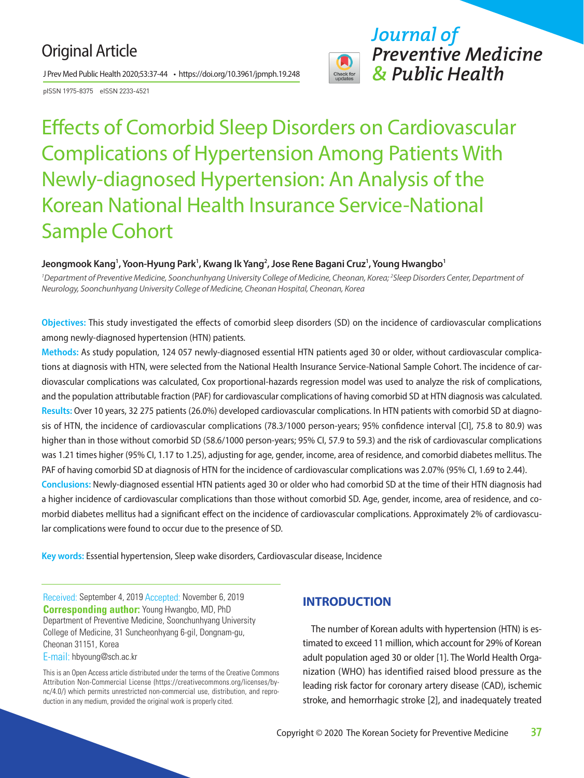## Original Article

J Prev Med Public Health 2020;53:37-44 • https://doi.org/10.3961/jpmph.19.248

pISSN 1975-8375 eISSN 2233-4521



*Journal of Preventive Medicine & Public Health*

# Effects of Comorbid Sleep Disorders on Cardiovascular Complications of Hypertension Among Patients With Newly-diagnosed Hypertension: An Analysis of the Korean National Health Insurance Service-National Sample Cohort

## Jeongmook Kang<sup>1</sup>, Yoon-Hyung Park<sup>1</sup>, Kwang Ik Yang<sup>2</sup>, Jose Rene Bagani Cruz<sup>1</sup>, Young Hwangbo<sup>1</sup>

*1 Department of Preventive Medicine, Soonchunhyang University College of Medicine, Cheonan, Korea; 2 Sleep Disorders Center, Department of Neurology, Soonchunhyang University College of Medicine, Cheonan Hospital, Cheonan, Korea*

**Objectives:** This study investigated the effects of comorbid sleep disorders (SD) on the incidence of cardiovascular complications among newly-diagnosed hypertension (HTN) patients.

**Methods:** As study population, 124 057 newly-diagnosed essential HTN patients aged 30 or older, without cardiovascular complications at diagnosis with HTN, were selected from the National Health Insurance Service-National Sample Cohort. The incidence of cardiovascular complications was calculated, Cox proportional-hazards regression model was used to analyze the risk of complications, and the population attributable fraction (PAF) for cardiovascular complications of having comorbid SD at HTN diagnosis was calculated. **Results:** Over 10 years, 32 275 patients (26.0%) developed cardiovascular complications. In HTN patients with comorbid SD at diagnosis of HTN, the incidence of cardiovascular complications (78.3/1000 person-years; 95% confidence interval [CI], 75.8 to 80.9) was higher than in those without comorbid SD (58.6/1000 person-years; 95% CI, 57.9 to 59.3) and the risk of cardiovascular complications was 1.21 times higher (95% CI, 1.17 to 1.25), adjusting for age, gender, income, area of residence, and comorbid diabetes mellitus. The PAF of having comorbid SD at diagnosis of HTN for the incidence of cardiovascular complications was 2.07% (95% CI, 1.69 to 2.44). **Conclusions:** Newly-diagnosed essential HTN patients aged 30 or older who had comorbid SD at the time of their HTN diagnosis had a higher incidence of cardiovascular complications than those without comorbid SD. Age, gender, income, area of residence, and comorbid diabetes mellitus had a significant effect on the incidence of cardiovascular complications. Approximately 2% of cardiovascu-

lar complications were found to occur due to the presence of SD.

**Key words:** Essential hypertension, Sleep wake disorders, Cardiovascular disease, Incidence

Received: September 4, 2019 Accepted: November 6, 2019 **Corresponding author:** Young Hwangbo, MD, PhD Department of Preventive Medicine, Soonchunhyang University College of Medicine, 31 Suncheonhyang 6-gil, Dongnam-gu, Cheonan 31151, Korea E-mail: hbyoung@sch.ac.kr

This is an Open Access article distributed under the terms of the Creative Commons Attribution Non-Commercial License (https://creativecommons.org/licenses/bync/4.0/) which permits unrestricted non-commercial use, distribution, and reproduction in any medium, provided the original work is properly cited.

## **INTRODUCTION**

The number of Korean adults with hypertension (HTN) is estimated to exceed 11 million, which account for 29% of Korean adult population aged 30 or older [1]. The World Health Organization (WHO) has identified raised blood pressure as the leading risk factor for coronary artery disease (CAD), ischemic stroke, and hemorrhagic stroke [2], and inadequately treated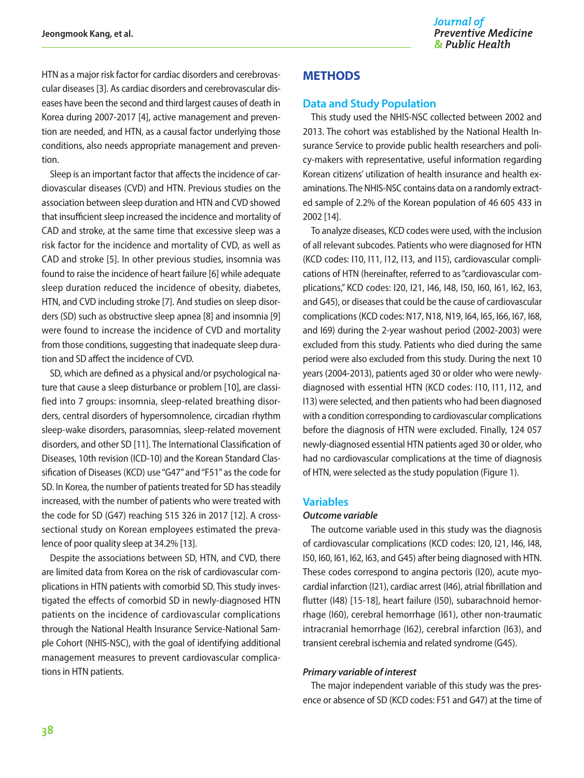HTN as a major risk factor for cardiac disorders and cerebrovascular diseases [3]. As cardiac disorders and cerebrovascular diseases have been the second and third largest causes of death in Korea during 2007-2017 [4], active management and prevention are needed, and HTN, as a causal factor underlying those conditions, also needs appropriate management and prevention.

Sleep is an important factor that affects the incidence of cardiovascular diseases (CVD) and HTN. Previous studies on the association between sleep duration and HTN and CVD showed that insufficient sleep increased the incidence and mortality of CAD and stroke, at the same time that excessive sleep was a risk factor for the incidence and mortality of CVD, as well as CAD and stroke [5]. In other previous studies, insomnia was found to raise the incidence of heart failure [6] while adequate sleep duration reduced the incidence of obesity, diabetes, HTN, and CVD including stroke [7]. And studies on sleep disorders (SD) such as obstructive sleep apnea [8] and insomnia [9] were found to increase the incidence of CVD and mortality from those conditions, suggesting that inadequate sleep duration and SD affect the incidence of CVD.

SD, which are defined as a physical and/or psychological nature that cause a sleep disturbance or problem [10], are classified into 7 groups: insomnia, sleep-related breathing disorders, central disorders of hypersomnolence, circadian rhythm sleep-wake disorders, parasomnias, sleep-related movement disorders, and other SD [11]. The International Classification of Diseases, 10th revision (ICD-10) and the Korean Standard Classification of Diseases (KCD) use "G47" and "F51" as the code for SD. In Korea, the number of patients treated for SD has steadily increased, with the number of patients who were treated with the code for SD (G47) reaching 515 326 in 2017 [12]. A crosssectional study on Korean employees estimated the prevalence of poor quality sleep at 34.2% [13].

Despite the associations between SD, HTN, and CVD, there are limited data from Korea on the risk of cardiovascular complications in HTN patients with comorbid SD. This study investigated the effects of comorbid SD in newly-diagnosed HTN patients on the incidence of cardiovascular complications through the National Health Insurance Service-National Sample Cohort (NHIS-NSC), with the goal of identifying additional management measures to prevent cardiovascular complications in HTN patients.

## **METHODS**

#### **Data and Study Population**

This study used the NHIS-NSC collected between 2002 and 2013. The cohort was established by the National Health Insurance Service to provide public health researchers and policy-makers with representative, useful information regarding Korean citizens' utilization of health insurance and health examinations. The NHIS-NSC contains data on a randomly extracted sample of 2.2% of the Korean population of 46 605 433 in 2002 [14].

To analyze diseases, KCD codes were used, with the inclusion of all relevant subcodes. Patients who were diagnosed for HTN (KCD codes: I10, I11, I12, I13, and I15), cardiovascular complications of HTN (hereinafter, referred to as "cardiovascular complications," KCD codes: I20, I21, I46, I48, I50, I60, I61, I62, I63, and G45), or diseases that could be the cause of cardiovascular complications (KCD codes: N17, N18, N19, I64, I65, I66, I67, I68, and I69) during the 2-year washout period (2002-2003) were excluded from this study. Patients who died during the same period were also excluded from this study. During the next 10 years (2004-2013), patients aged 30 or older who were newlydiagnosed with essential HTN (KCD codes: I10, I11, I12, and I13) were selected, and then patients who had been diagnosed with a condition corresponding to cardiovascular complications before the diagnosis of HTN were excluded. Finally, 124 057 newly-diagnosed essential HTN patients aged 30 or older, who had no cardiovascular complications at the time of diagnosis of HTN, were selected as the study population (Figure 1).

#### **Variables**

#### *Outcome variable*

The outcome variable used in this study was the diagnosis of cardiovascular complications (KCD codes: I20, I21, I46, I48, I50, I60, I61, I62, I63, and G45) after being diagnosed with HTN. These codes correspond to angina pectoris (I20), acute myocardial infarction (I21), cardiac arrest (I46), atrial fibrillation and flutter (I48) [15-18], heart failure (I50), subarachnoid hemorrhage (I60), cerebral hemorrhage (I61), other non-traumatic intracranial hemorrhage (I62), cerebral infarction (I63), and transient cerebral ischemia and related syndrome (G45).

#### *Primary variable of interest*

The major independent variable of this study was the presence or absence of SD (KCD codes: F51 and G47) at the time of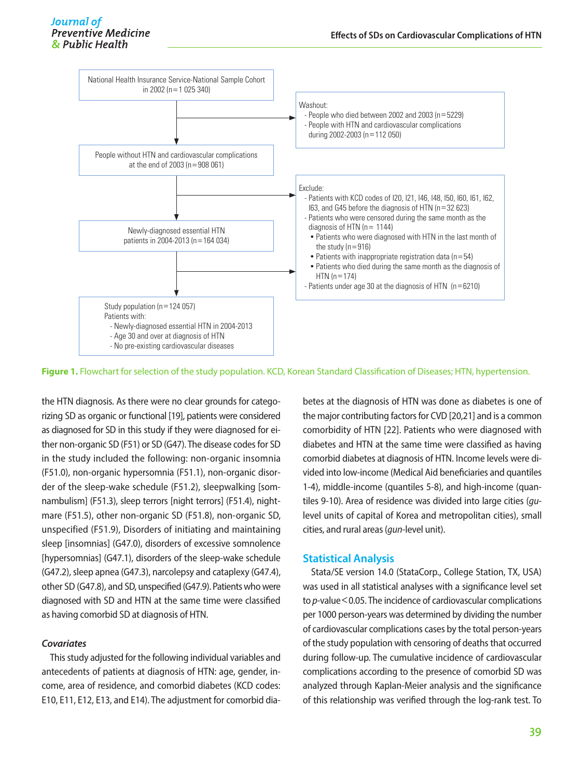

**Figure 1.** Flowchart for selection of the study population. KCD, Korean Standard Classification of Diseases; HTN, hypertension.

the HTN diagnosis. As there were no clear grounds for categorizing SD as organic or functional [19], patients were considered as diagnosed for SD in this study if they were diagnosed for either non-organic SD (F51) or SD (G47). The disease codes for SD in the study included the following: non-organic insomnia (F51.0), non-organic hypersomnia (F51.1), non-organic disorder of the sleep-wake schedule (F51.2), sleepwalking [somnambulism] (F51.3), sleep terrors [night terrors] (F51.4), nightmare (F51.5), other non-organic SD (F51.8), non-organic SD, unspecified (F51.9), Disorders of initiating and maintaining sleep [insomnias] (G47.0), disorders of excessive somnolence [hypersomnias] (G47.1), disorders of the sleep-wake schedule (G47.2), sleep apnea (G47.3), narcolepsy and cataplexy (G47.4), other SD (G47.8), and SD, unspecified (G47.9). Patients who were diagnosed with SD and HTN at the same time were classified as having comorbid SD at diagnosis of HTN.

#### *Covariates*

This study adjusted for the following individual variables and antecedents of patients at diagnosis of HTN: age, gender, income, area of residence, and comorbid diabetes (KCD codes: E10, E11, E12, E13, and E14). The adjustment for comorbid dia-

betes at the diagnosis of HTN was done as diabetes is one of the major contributing factors for CVD [20,21] and is a common comorbidity of HTN [22]. Patients who were diagnosed with diabetes and HTN at the same time were classified as having comorbid diabetes at diagnosis of HTN. Income levels were divided into low-income (Medical Aid beneficiaries and quantiles 1-4), middle-income (quantiles 5-8), and high-income (quantiles 9-10). Area of residence was divided into large cities (*gu*level units of capital of Korea and metropolitan cities), small cities, and rural areas (*gun*-level unit).

### **Statistical Analysis**

Stata/SE version 14.0 (StataCorp., College Station, TX, USA) was used in all statistical analyses with a significance level set to *p*-value<0.05. The incidence of cardiovascular complications per 1000 person-years was determined by dividing the number of cardiovascular complications cases by the total person-years of the study population with censoring of deaths that occurred during follow-up. The cumulative incidence of cardiovascular complications according to the presence of comorbid SD was analyzed through Kaplan-Meier analysis and the significance of this relationship was verified through the log-rank test. To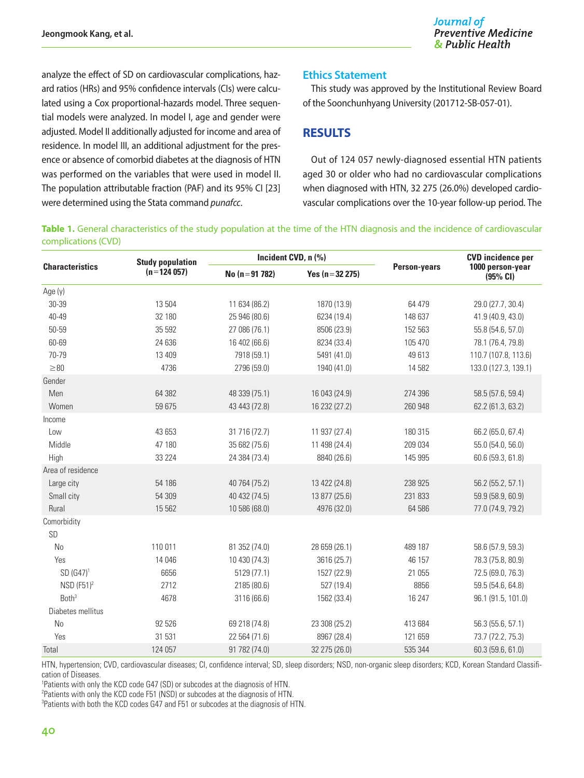analyze the effect of SD on cardiovascular complications, hazard ratios (HRs) and 95% confidence intervals (CIs) were calculated using a Cox proportional-hazards model. Three sequential models were analyzed. In model I, age and gender were adjusted. Model II additionally adjusted for income and area of residence. In model III, an additional adjustment for the presence or absence of comorbid diabetes at the diagnosis of HTN was performed on the variables that were used in model II. The population attributable fraction (PAF) and its 95% CI [23] were determined using the Stata command *punafcc*.

### **Ethics Statement**

This study was approved by the Institutional Review Board of the Soonchunhyang University (201712-SB-057-01).

## **RESULTS**

Out of 124 057 newly-diagnosed essential HTN patients aged 30 or older who had no cardiovascular complications when diagnosed with HTN, 32 275 (26.0%) developed cardiovascular complications over the 10-year follow-up period. The

**Table 1.** General characteristics of the study population at the time of the HTN diagnosis and the incidence of cardiovascular complications (CVD)

| <b>Characteristics</b> | <b>Study population</b><br>$(n=124057)$ | Incident CVD, n (%) |                      |                     | <b>CVD</b> incidence per     |
|------------------------|-----------------------------------------|---------------------|----------------------|---------------------|------------------------------|
|                        |                                         | No ( $n = 91$ 782)  | Yes ( $n = 32 275$ ) | <b>Person-years</b> | 1000 person-year<br>(95% CI) |
| Age (y)                |                                         |                     |                      |                     |                              |
| 30-39                  | 13 504                                  | 11 634 (86.2)       | 1870 (13.9)          | 64 479              | 29.0 (27.7, 30.4)            |
| 40-49                  | 32 180                                  | 25 946 (80.6)       | 6234 (19.4)          | 148 637             | 41.9 (40.9, 43.0)            |
| 50-59                  | 35 592                                  | 27 086 (76.1)       | 8506 (23.9)          | 152 563             | 55.8 (54.6, 57.0)            |
| 60-69                  | 24 636                                  | 16 402 (66.6)       | 8234 (33.4)          | 105 470             | 78.1 (76.4, 79.8)            |
| 70-79                  | 13 4 09                                 | 7918 (59.1)         | 5491 (41.0)          | 49 613              | 110.7 (107.8, 113.6)         |
| $\geq 80$              | 4736                                    | 2796 (59.0)         | 1940 (41.0)          | 14 582              | 133.0 (127.3, 139.1)         |
| Gender                 |                                         |                     |                      |                     |                              |
| Men                    | 64 382                                  | 48 339 (75.1)       | 16 043 (24.9)        | 274 396             | 58.5 (57.6, 59.4)            |
| Women                  | 59 675                                  | 43 443 (72.8)       | 16 232 (27.2)        | 260 948             | 62.2 (61.3, 63.2)            |
| Income                 |                                         |                     |                      |                     |                              |
| Low                    | 43 653                                  | 31 716 (72.7)       | 11 937 (27.4)        | 180 315             | 66.2 (65.0, 67.4)            |
| Middle                 | 47 180                                  | 35 682 (75.6)       | 11 498 (24.4)        | 209 034             | 55.0 (54.0, 56.0)            |
| High                   | 33 2 2 4                                | 24 384 (73.4)       | 8840 (26.6)          | 145 995             | 60.6 (59.3, 61.8)            |
| Area of residence      |                                         |                     |                      |                     |                              |
| Large city             | 54 186                                  | 40 764 (75.2)       | 13 422 (24.8)        | 238 925             | 56.2 (55.2, 57.1)            |
| Small city             | 54 309                                  | 40 432 (74.5)       | 13 877 (25.6)        | 231 833             | 59.9 (58.9, 60.9)            |
| Rural                  | 15 562                                  | 10 586 (68.0)       | 4976 (32.0)          | 64 586              | 77.0 (74.9, 79.2)            |
| Comorbidity            |                                         |                     |                      |                     |                              |
| SD                     |                                         |                     |                      |                     |                              |
| No                     | 110 011                                 | 81 352 (74.0)       | 28 659 (26.1)        | 489 187             | 58.6 (57.9, 59.3)            |
| Yes                    | 14 046                                  | 10 430 (74.3)       | 3616 (25.7)          | 46 157              | 78.3 (75.8, 80.9)            |
| SD (G47) <sup>1</sup>  | 6656                                    | 5129 (77.1)         | 1527 (22.9)          | 21 055              | 72.5 (69.0, 76.3)            |
| NSD (F51) <sup>2</sup> | 2712                                    | 2185 (80.6)         | 527 (19.4)           | 8856                | 59.5 (54.6, 64.8)            |
| Both <sup>3</sup>      | 4678                                    | 3116 (66.6)         | 1562 (33.4)          | 16 247              | 96.1 (91.5, 101.0)           |
| Diabetes mellitus      |                                         |                     |                      |                     |                              |
| <b>No</b>              | 92 526                                  | 69 218 (74.8)       | 23 308 (25.2)        | 413 684             | 56.3 (55.6, 57.1)            |
| Yes                    | 31 531                                  | 22 564 (71.6)       | 8967 (28.4)          | 121 659             | 73.7 (72.2, 75.3)            |
| Total                  | 124 057                                 | 91 782 (74.0)       | 32 275 (26.0)        | 535 344             | 60.3 (59.6, 61.0)            |

HTN, hypertension; CVD, cardiovascular diseases; CI, confidence interval; SD, sleep disorders; NSD, non-organic sleep disorders; KCD, Korean Standard Classification of Diseases.

1 Patients with only the KCD code G47 (SD) or subcodes at the diagnosis of HTN.

2 Patients with only the KCD code F51 (NSD) or subcodes at the diagnosis of HTN.

<sup>3</sup>Patients with both the KCD codes G47 and F51 or subcodes at the diagnosis of HTN.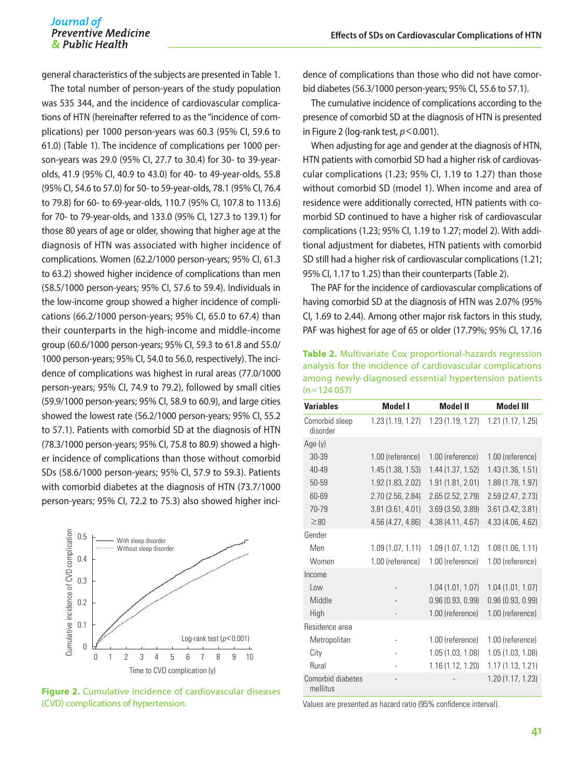general characteristics of the subjects are presented in Table 1.

The total number of person-years of the study population was 535 344, and the incidence of cardiovascular complications of HTN (hereinafter referred to as the "incidence of complications) per 1000 person-years was 60.3 (95% CI, 59.6 to 61.0) (Table 1). The incidence of complications per 1000 person-years was 29.0 (95% CI, 27.7 to 30.4) for 30- to 39-yearolds, 41.9 (95% CI, 40.9 to 43.0) for 40- to 49-year-olds, 55.8 (95% CI, 54.6 to 57.0) for 50- to 59-year-olds, 78.1 (95% CI, 76.4 to 79.8) for 60- to 69-year-olds, 110.7 (95% CI, 107.8 to 113.6) for 70- to 79-year-olds, and 133.0 (95% CI, 127.3 to 139.1) for those 80 years of age or older, showing that higher age at the diagnosis of HTN was associated with higher incidence of complications. Women (62.2/1000 person-years; 95% CI, 61.3 to 63.2) showed higher incidence of complications than men (58.5/1000 person-years; 95% CI, 57.6 to 59.4). Individuals in the low-income group showed a higher incidence of complications (66.2/1000 person-years; 95% CI, 65.0 to 67.4) than their counterparts in the high-income and middle-income group (60.6/1000 person-years; 95% CI, 59.3 to 61.8 and 55.0/ 1000 person-years; 95% CI, 54.0 to 56.0, respectively). The incidence of complications was highest in rural areas (77.0/1000 person-years; 95% CI, 74.9 to 79.2), followed by small cities (59.9/1000 person-years; 95% CI, 58.9 to 60.9), and large cities showed the lowest rate (56.2/1000 person-years; 95% CI, 55.2 to 57.1). Patients with comorbid SD at the diagnosis of HTN (78.3/1000 person-years; 95% CI, 75.8 to 80.9) showed a higher incidence of complications than those without comorbid SDs (58.6/1000 person-years; 95% CI, 57.9 to 59.3). Patients with comorbid diabetes at the diagnosis of HTN (73.7/1000 person-years; 95% CI, 72.2 to 75.3) also showed higher inci-



**Figure 2.** Cumulative incidence of cardiovascular diseases (CVD) complications of hypertension.

dence of complications than those who did not have comorbid diabetes (56.3/1000 person-years; 95% CI, 55.6 to 57.1).

The cumulative incidence of complications according to the presence of comorbid SD at the diagnosis of HTN is presented in Figure 2 (log-rank test, *p*<0.001).

When adjusting for age and gender at the diagnosis of HTN, HTN patients with comorbid SD had a higher risk of cardiovascular complications (1.23; 95% CI, 1.19 to 1.27) than those without comorbid SD (model 1). When income and area of residence were additionally corrected, HTN patients with comorbid SD continued to have a higher risk of cardiovascular complications (1.23; 95% CI, 1.19 to 1.27; model 2). With additional adjustment for diabetes, HTN patients with comorbid SD still had a higher risk of cardiovascular complications (1.21; 95% CI, 1.17 to 1.25) than their counterparts (Table 2).

The PAF for the incidence of cardiovascular complications of having comorbid SD at the diagnosis of HTN was 2.07% (95% CI, 1.69 to 2.44). Among other major risk factors in this study, PAF was highest for age of 65 or older (17.79%; 95% CI, 17.16

**Table 2.** Multivariate Cox proportional-hazards regression analysis for the incidence of cardiovascular complications among newly-diagnosed essential hypertension patients (n=124 057)

| <b>Variables</b>              | Model I           | Model II          | <b>Model III</b>      |
|-------------------------------|-------------------|-------------------|-----------------------|
| Comorbid sleep<br>disorder    | 1.23(1.19, 1.27)  | 1.23(1.19, 1.27)  | 1.21(1.17, 1.25)      |
| Age (y)                       |                   |                   |                       |
| 30-39                         | 1.00 (reference)  | 1.00 (reference)  | 1.00 (reference)      |
| $40 - 49$                     | 1.45(1.38, 1.53)  | 1.44 (1.37, 1.52) | 1.43(1.36, 1.51)      |
| 50-59                         | 1.92 (1.83, 2.02) | 1.91 (1.81, 2.01) | 1.88 (1.78, 1.97)     |
| 60-69                         | 2.70 (2.56, 2.84) | 2.65 (2.52, 2.79) | 2.59 (2.47, 2.73)     |
| 70-79                         | 3.81(3.61, 4.01)  | 3.69(3.50, 3.89)  | $3.61$ $(3.42, 3.81)$ |
| $\geq 80$                     | 4.56 (4.27, 4.86) | 4.38 (4.11, 4.67) | 4.33 (4.06, 4.62)     |
| Gender                        |                   |                   |                       |
| Men                           | 1.09(1.07, 1.11)  | 1.09 (1.07, 1.12) | 1.08(1.06, 1.11)      |
| Women                         | 1.00 (reference)  | 1.00 (reference)  | 1.00 (reference)      |
| Income                        |                   |                   |                       |
| Low                           |                   | 1.04(1.01, 1.07)  | 1.04(1.01, 1.07)      |
| Middle                        |                   | 0.96(0.93, 0.99)  | 0.96(0.93, 0.99)      |
| High                          |                   | 1.00 (reference)  | 1.00 (reference)      |
| Residence area                |                   |                   |                       |
| Metropolitan                  |                   | 1.00 (reference)  | 1.00 (reference)      |
| City                          |                   | 1.05(1.03, 1.08)  | 1.05(1.03, 1.08)      |
| Rural                         |                   | 1.16(1.12, 1.20)  | 1.17(1.13, 1.21)      |
| Comorbid diabetes<br>mellitus |                   |                   | 1.20(1.17, 1.23)      |
|                               |                   |                   |                       |

Values are presented as hazard ratio (95% confidence interval).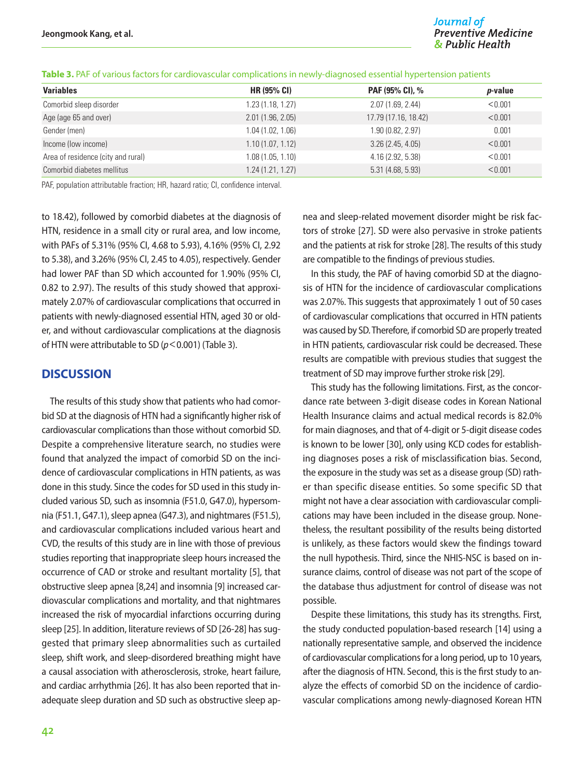### Journal of **Preventive Medicine** & Public Health

| <b>Variables</b>                   | <b>HR (95% CI)</b> | <b>PAF (95% CI), %</b> | <i>p</i> -value |
|------------------------------------|--------------------|------------------------|-----------------|
| Comorbid sleep disorder            | 1.23(1.18, 1.27)   | 2.07(1.69, 2.44)       | < 0.001         |
| Age (age 65 and over)              | 2.01(1.96, 2.05)   | 17.79 (17.16, 18.42)   | < 0.001         |
| Gender (men)                       | 1.04(1.02, 1.06)   | 1.90(0.82, 2.97)       | 0.001           |
| Income (low income)                | 1.10(1.07, 1.12)   | 3.26(2.45, 4.05)       | < 0.001         |
| Area of residence (city and rural) | 1.08(1.05, 1.10)   | 4.16 (2.92, 5.38)      | < 0.001         |
| Comorbid diabetes mellitus         | 1.24(1.21, 1.27)   | 5.31(4.68, 5.93)       | < 0.001         |

#### **Table 3.** PAF of various factors for cardiovascular complications in newly-diagnosed essential hypertension patients

PAF, population attributable fraction; HR, hazard ratio; CI, confidence interval.

to 18.42), followed by comorbid diabetes at the diagnosis of HTN, residence in a small city or rural area, and low income, with PAFs of 5.31% (95% CI, 4.68 to 5.93), 4.16% (95% CI, 2.92 to 5.38), and 3.26% (95% CI, 2.45 to 4.05), respectively. Gender had lower PAF than SD which accounted for 1.90% (95% CI, 0.82 to 2.97). The results of this study showed that approximately 2.07% of cardiovascular complications that occurred in patients with newly-diagnosed essential HTN, aged 30 or older, and without cardiovascular complications at the diagnosis of HTN were attributable to SD (*p*<0.001) (Table 3).

## **DISCUSSION**

The results of this study show that patients who had comorbid SD at the diagnosis of HTN had a significantly higher risk of cardiovascular complications than those without comorbid SD. Despite a comprehensive literature search, no studies were found that analyzed the impact of comorbid SD on the incidence of cardiovascular complications in HTN patients, as was done in this study. Since the codes for SD used in this study included various SD, such as insomnia (F51.0, G47.0), hypersomnia (F51.1, G47.1), sleep apnea (G47.3), and nightmares (F51.5), and cardiovascular complications included various heart and CVD, the results of this study are in line with those of previous studies reporting that inappropriate sleep hours increased the occurrence of CAD or stroke and resultant mortality [5], that obstructive sleep apnea [8,24] and insomnia [9] increased cardiovascular complications and mortality, and that nightmares increased the risk of myocardial infarctions occurring during sleep [25]. In addition, literature reviews of SD [26-28] has suggested that primary sleep abnormalities such as curtailed sleep, shift work, and sleep-disordered breathing might have a causal association with atherosclerosis, stroke, heart failure, and cardiac arrhythmia [26]. It has also been reported that inadequate sleep duration and SD such as obstructive sleep apnea and sleep-related movement disorder might be risk factors of stroke [27]. SD were also pervasive in stroke patients and the patients at risk for stroke [28]. The results of this study are compatible to the findings of previous studies.

In this study, the PAF of having comorbid SD at the diagnosis of HTN for the incidence of cardiovascular complications was 2.07%. This suggests that approximately 1 out of 50 cases of cardiovascular complications that occurred in HTN patients was caused by SD. Therefore, if comorbid SD are properly treated in HTN patients, cardiovascular risk could be decreased. These results are compatible with previous studies that suggest the treatment of SD may improve further stroke risk [29].

This study has the following limitations. First, as the concordance rate between 3-digit disease codes in Korean National Health Insurance claims and actual medical records is 82.0% for main diagnoses, and that of 4-digit or 5-digit disease codes is known to be lower [30], only using KCD codes for establishing diagnoses poses a risk of misclassification bias. Second, the exposure in the study was set as a disease group (SD) rather than specific disease entities. So some specific SD that might not have a clear association with cardiovascular complications may have been included in the disease group. Nonetheless, the resultant possibility of the results being distorted is unlikely, as these factors would skew the findings toward the null hypothesis. Third, since the NHIS-NSC is based on insurance claims, control of disease was not part of the scope of the database thus adjustment for control of disease was not possible.

Despite these limitations, this study has its strengths. First, the study conducted population-based research [14] using a nationally representative sample, and observed the incidence of cardiovascular complications for a long period, up to 10 years, after the diagnosis of HTN. Second, this is the first study to analyze the effects of comorbid SD on the incidence of cardiovascular complications among newly-diagnosed Korean HTN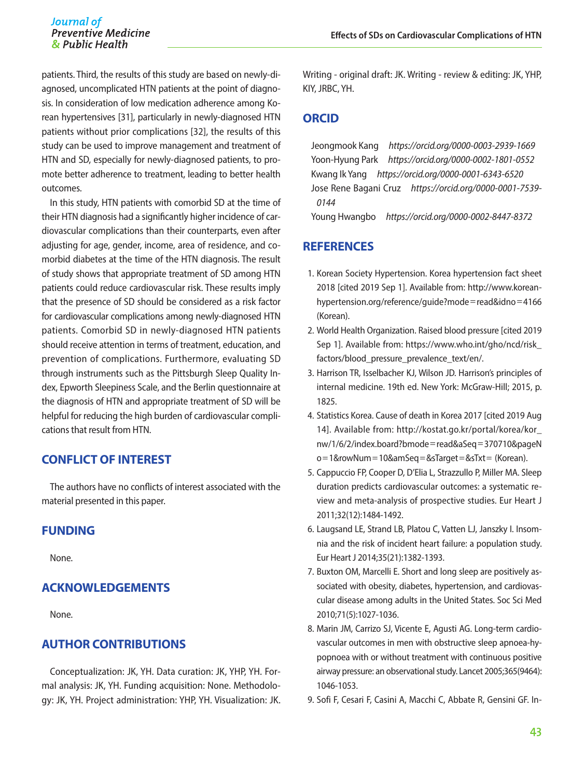patients. Third, the results of this study are based on newly-diagnosed, uncomplicated HTN patients at the point of diagnosis. In consideration of low medication adherence among Korean hypertensives [31], particularly in newly-diagnosed HTN patients without prior complications [32], the results of this study can be used to improve management and treatment of HTN and SD, especially for newly-diagnosed patients, to promote better adherence to treatment, leading to better health outcomes.

In this study, HTN patients with comorbid SD at the time of their HTN diagnosis had a significantly higher incidence of cardiovascular complications than their counterparts, even after adjusting for age, gender, income, area of residence, and comorbid diabetes at the time of the HTN diagnosis. The result of study shows that appropriate treatment of SD among HTN patients could reduce cardiovascular risk. These results imply that the presence of SD should be considered as a risk factor for cardiovascular complications among newly-diagnosed HTN patients. Comorbid SD in newly-diagnosed HTN patients should receive attention in terms of treatment, education, and prevention of complications. Furthermore, evaluating SD through instruments such as the Pittsburgh Sleep Quality Index, Epworth Sleepiness Scale, and the Berlin questionnaire at the diagnosis of HTN and appropriate treatment of SD will be helpful for reducing the high burden of cardiovascular complications that result from HTN.

## **CONFLICT OF INTEREST**

The authors have no conflicts of interest associated with the material presented in this paper.

## **FUNDING**

None.

## **ACKNOWLEDGEMENTS**

None.

## **AUTHOR CONTRIBUTIONS**

Conceptualization: JK, YH. Data curation: JK, YHP, YH. Formal analysis: JK, YH. Funding acquisition: None. Methodology: JK, YH. Project administration: YHP, YH. Visualization: JK. Writing - original draft: JK. Writing - review & editing: JK, YHP, KIY, JRBC, YH.

## **ORCID**

Jeongmook Kang *https://orcid.org/0000-0003-2939-1669* Yoon-Hyung Park *https://orcid.org/0000-0002-1801-0552* Kwang Ik Yang *https://orcid.org/0000-0001-6343-6520* Jose Rene Bagani Cruz *https://orcid.org/0000-0001-7539- 0144*

Young Hwangbo *https://orcid.org/0000-0002-8447-8372*

## **REFERENCES**

- 1. Korean Society Hypertension. Korea hypertension fact sheet 2018 [cited 2019 Sep 1]. Available from: http://www.koreanhypertension.org/reference/guide?mode=read&idno=4166 (Korean).
- 2. World Health Organization. Raised blood pressure [cited 2019 Sep 1]. Available from: https://www.who.int/gho/ncd/risk\_ factors/blood\_pressure\_prevalence\_text/en/.
- 3. Harrison TR, Isselbacher KJ, Wilson JD. Harrison's principles of internal medicine. 19th ed. New York: McGraw-Hill; 2015, p. 1825.
- 4. Statistics Korea. Cause of death in Korea 2017 [cited 2019 Aug 14]. Available from: http://kostat.go.kr/portal/korea/kor\_ nw/1/6/2/index.board?bmode=read&aSeq=370710&pageN o=1&rowNum=10&amSeq=&sTarget=&sTxt= (Korean).
- 5. Cappuccio FP, Cooper D, D'Elia L, Strazzullo P, Miller MA. Sleep duration predicts cardiovascular outcomes: a systematic review and meta-analysis of prospective studies. Eur Heart J 2011;32(12):1484-1492.
- 6. Laugsand LE, Strand LB, Platou C, Vatten LJ, Janszky I. Insomnia and the risk of incident heart failure: a population study. Eur Heart J 2014;35(21):1382-1393.
- 7. Buxton OM, Marcelli E. Short and long sleep are positively associated with obesity, diabetes, hypertension, and cardiovascular disease among adults in the United States. Soc Sci Med 2010;71(5):1027-1036.
- 8. Marin JM, Carrizo SJ, Vicente E, Agusti AG. Long-term cardiovascular outcomes in men with obstructive sleep apnoea-hypopnoea with or without treatment with continuous positive airway pressure: an observational study. Lancet 2005;365(9464): 1046-1053.
- 9. Sofi F, Cesari F, Casini A, Macchi C, Abbate R, Gensini GF. In-